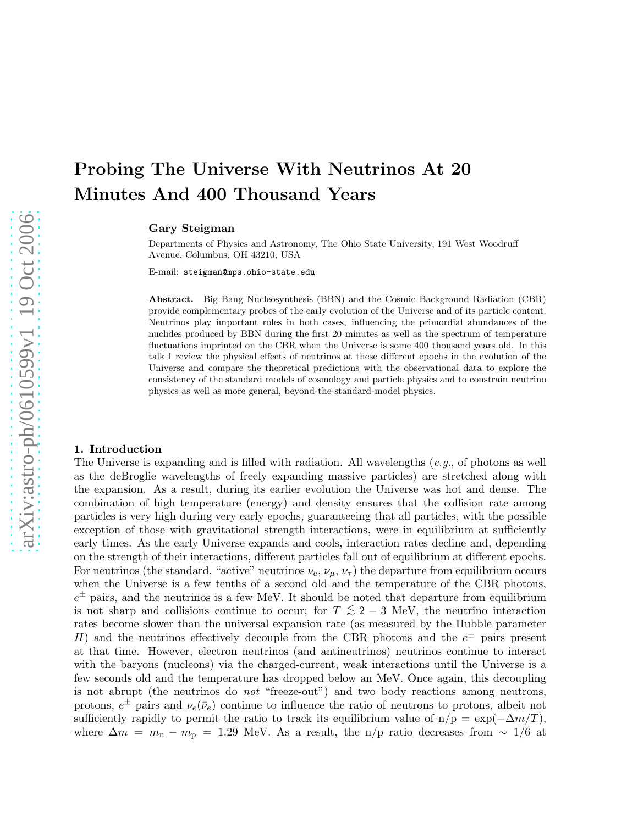# Probing The Universe With Neutrinos At 20 Minutes And 400 Thousand Years

Gary Steigman

Departments of Physics and Astronomy, The Ohio State University, 191 West Woodruff Avenue, Columbus, OH 43210, USA

E-mail: steigman@mps.ohio-state.edu

Abstract. Big Bang Nucleosynthesis (BBN) and the Cosmic Background Radiation (CBR) provide complementary probes of the early evolution of the Universe and of its particle content. Neutrinos play important roles in both cases, influencing the primordial abundances of the nuclides produced by BBN during the first 20 minutes as well as the spectrum of temperature fluctuations imprinted on the CBR when the Universe is some 400 thousand years old. In this talk I review the physical effects of neutrinos at these different epochs in the evolution of the Universe and compare the theoretical predictions with the observational data to explore the consistency of the standard models of cosmology and particle physics and to constrain neutrino physics as well as more general, beyond-the-standard-model physics.

#### 1. Introduction

The Universe is expanding and is filled with radiation. All wavelengths  $(e, q, \phi)$  of photons as well as the deBroglie wavelengths of freely expanding massive particles) are stretched along with the expansion. As a result, during its earlier evolution the Universe was hot and dense. The combination of high temperature (energy) and density ensures that the collision rate among particles is very high during very early epochs, guaranteeing that all particles, with the possible exception of those with gravitational strength interactions, were in equilibrium at sufficiently early times. As the early Universe expands and cools, interaction rates decline and, depending on the strength of their interactions, different particles fall out of equilibrium at different epochs. For neutrinos (the standard, "active" neutrinos  $\nu_e$ ,  $\nu_\mu$ ,  $\nu_\tau$ ) the departure from equilibrium occurs when the Universe is a few tenths of a second old and the temperature of the CBR photons,  $e^{\pm}$  pairs, and the neutrinos is a few MeV. It should be noted that departure from equilibrium is not sharp and collisions continue to occur; for  $T \leq 2-3$  MeV, the neutrino interaction rates become slower than the universal expansion rate (as measured by the Hubble parameter H) and the neutrinos effectively decouple from the CBR photons and the  $e^{\pm}$  pairs present at that time. However, electron neutrinos (and antineutrinos) neutrinos continue to interact with the baryons (nucleons) via the charged-current, weak interactions until the Universe is a few seconds old and the temperature has dropped below an MeV. Once again, this decoupling is not abrupt (the neutrinos do not "freeze-out") and two body reactions among neutrons, protons,  $e^{\pm}$  pairs and  $\nu_e(\bar{\nu}_e)$  continue to influence the ratio of neutrons to protons, albeit not sufficiently rapidly to permit the ratio to track its equilibrium value of  $n/p = \exp(-\Delta m/T)$ , where  $\Delta m = m_{\rm n} - m_{\rm p} = 1.29$  MeV. As a result, the n/p ratio decreases from  $\sim 1/6$  at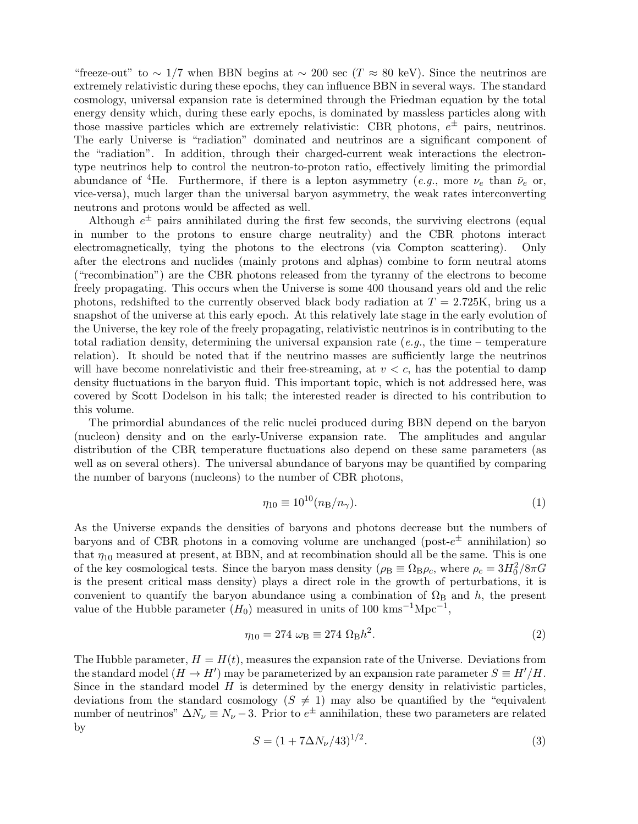"freeze-out" to ~ 1/7 when BBN begins at ~ 200 sec (T ≈ 80 keV). Since the neutrinos are extremely relativistic during these epochs, they can influence BBN in several ways. The standard cosmology, universal expansion rate is determined through the Friedman equation by the total energy density which, during these early epochs, is dominated by massless particles along with those massive particles which are extremely relativistic: CBR photons,  $e^{\pm}$  pairs, neutrinos. The early Universe is "radiation" dominated and neutrinos are a significant component of the "radiation". In addition, through their charged-current weak interactions the electrontype neutrinos help to control the neutron-to-proton ratio, effectively limiting the primordial abundance of <sup>4</sup>He. Furthermore, if there is a lepton asymmetry (e.g., more  $\nu_e$  than  $\bar{\nu}_e$  or, vice-versa), much larger than the universal baryon asymmetry, the weak rates interconverting neutrons and protons would be affected as well.

Although  $e^{\pm}$  pairs annihilated during the first few seconds, the surviving electrons (equal in number to the protons to ensure charge neutrality) and the CBR photons interact electromagnetically, tying the photons to the electrons (via Compton scattering). Only after the electrons and nuclides (mainly protons and alphas) combine to form neutral atoms ("recombination") are the CBR photons released from the tyranny of the electrons to become freely propagating. This occurs when the Universe is some 400 thousand years old and the relic photons, redshifted to the currently observed black body radiation at  $T = 2.725K$ , bring us a snapshot of the universe at this early epoch. At this relatively late stage in the early evolution of the Universe, the key role of the freely propagating, relativistic neutrinos is in contributing to the total radiation density, determining the universal expansion rate  $(e.g., the time - temperature$ relation). It should be noted that if the neutrino masses are sufficiently large the neutrinos will have become nonrelativistic and their free-streaming, at  $v < c$ , has the potential to damp density fluctuations in the baryon fluid. This important topic, which is not addressed here, was covered by Scott Dodelson in his talk; the interested reader is directed to his contribution to this volume.

The primordial abundances of the relic nuclei produced during BBN depend on the baryon (nucleon) density and on the early-Universe expansion rate. The amplitudes and angular distribution of the CBR temperature fluctuations also depend on these same parameters (as well as on several others). The universal abundance of baryons may be quantified by comparing the number of baryons (nucleons) to the number of CBR photons,

$$
\eta_{10} \equiv 10^{10} (n_{\rm B}/n_{\gamma}).\tag{1}
$$

As the Universe expands the densities of baryons and photons decrease but the numbers of baryons and of CBR photons in a comoving volume are unchanged (post- $e^{\pm}$  annihilation) so that  $\eta_{10}$  measured at present, at BBN, and at recombination should all be the same. This is one of the key cosmological tests. Since the baryon mass density  $(\rho_B \equiv \Omega_B \rho_c)$ , where  $\rho_c = 3H_0^2/8\pi G$ is the present critical mass density) plays a direct role in the growth of perturbations, it is convenient to quantify the baryon abundance using a combination of  $\Omega_{\rm B}$  and h, the present value of the Hubble parameter  $(H_0)$  measured in units of 100 kms<sup>-1</sup>Mpc<sup>-1</sup>,

$$
\eta_{10} = 274 \, \omega_{\text{B}} \equiv 274 \, \Omega_{\text{B}} h^2. \tag{2}
$$

The Hubble parameter,  $H = H(t)$ , measures the expansion rate of the Universe. Deviations from the standard model  $(H \to H')$  may be parameterized by an expansion rate parameter  $S \equiv H'/H$ . Since in the standard model  $H$  is determined by the energy density in relativistic particles, deviations from the standard cosmology  $(S \neq 1)$  may also be quantified by the "equivalent" number of neutrinos"  $\Delta N_{\nu} \equiv N_{\nu} - 3$ . Prior to  $e^{\pm}$  annihilation, these two parameters are related by

$$
S = (1 + 7\Delta N_{\nu}/43)^{1/2}.
$$
\n(3)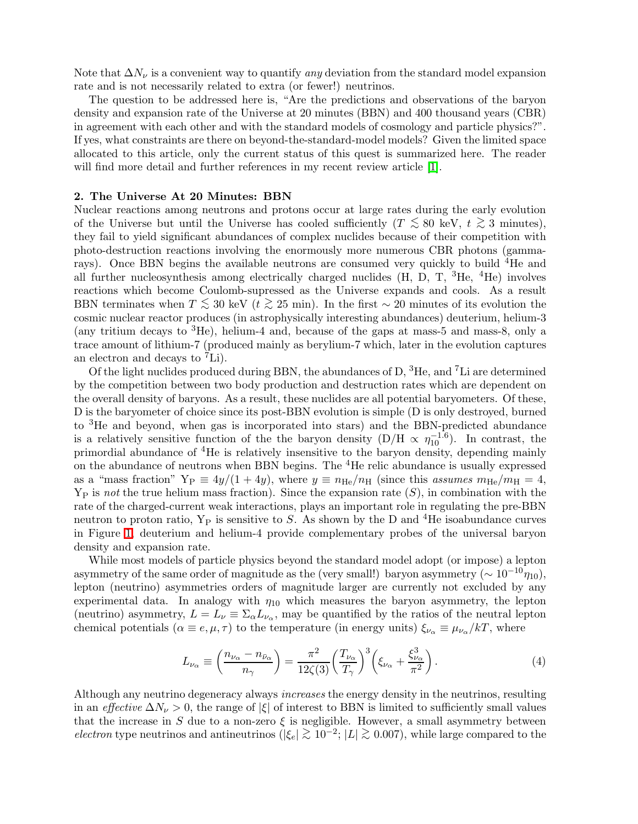Note that  $\Delta N_{\nu}$  is a convenient way to quantify any deviation from the standard model expansion rate and is not necessarily related to extra (or fewer!) neutrinos.

The question to be addressed here is, "Are the predictions and observations of the baryon density and expansion rate of the Universe at 20 minutes (BBN) and 400 thousand years (CBR) in agreement with each other and with the standard models of cosmology and particle physics?". If yes, what constraints are there on beyond-the-standard-model models? Given the limited space allocated to this article, only the current status of this quest is summarized here. The reader will find more detail and further references in my recent review article [\[1\]](#page-6-0).

## 2. The Universe At 20 Minutes: BBN

Nuclear reactions among neutrons and protons occur at large rates during the early evolution of the Universe but until the Universe has cooled sufficiently ( $T \leq 80$  keV,  $t \geq 3$  minutes), they fail to yield significant abundances of complex nuclides because of their competition with photo-destruction reactions involving the enormously more numerous CBR photons (gammarays). Once BBN begins the available neutrons are consumed very quickly to build <sup>4</sup>He and all further nucleosynthesis among electrically charged nuclides  $(H, D, T, \,^{3}He, \,^{4}He)$  involves reactions which become Coulomb-supressed as the Universe expands and cools. As a result BBN terminates when  $T \leq 30$  keV ( $t \geq 25$  min). In the first ~ 20 minutes of its evolution the cosmic nuclear reactor produces (in astrophysically interesting abundances) deuterium, helium-3 (any tritium decays to <sup>3</sup>He), helium-4 and, because of the gaps at mass-5 and mass-8, only a trace amount of lithium-7 (produced mainly as berylium-7 which, later in the evolution captures an electron and decays to <sup>7</sup>Li).

Of the light nuclides produced during BBN, the abundances of D,  ${}^{3}$ He, and  ${}^{7}$ Li are determined by the competition between two body production and destruction rates which are dependent on the overall density of baryons. As a result, these nuclides are all potential baryometers. Of these, D is the baryometer of choice since its post-BBN evolution is simple (D is only destroyed, burned to <sup>3</sup>He and beyond, when gas is incorporated into stars) and the BBN-predicted abundance is a relatively sensitive function of the the baryon density  $(D/H \propto \eta_{10}^{-1.6})$ . In contrast, the primordial abundance of <sup>4</sup>He is relatively insensitive to the baryon density, depending mainly on the abundance of neutrons when BBN begins. The <sup>4</sup>He relic abundance is usually expressed as a "mass fraction"  $Y_P \equiv 4y/(1+4y)$ , where  $y \equiv n_{He}/n_H$  (since this assumes  $m_{He}/m_H = 4$ ,  $Y_P$  is not the true helium mass fraction). Since the expansion rate  $(S)$ , in combination with the rate of the charged-current weak interactions, plays an important role in regulating the pre-BBN neutron to proton ratio,  $Y_P$  is sensitive to S. As shown by the D and <sup>4</sup>He isoabundance curves in Figure [1,](#page-3-0) deuterium and helium-4 provide complementary probes of the universal baryon density and expansion rate.

While most models of particle physics beyond the standard model adopt (or impose) a lepton asymmetry of the same order of magnitude as the (very small!) baryon asymmetry ( $\sim 10^{-10} \eta_{10}$ ), lepton (neutrino) asymmetries orders of magnitude larger are currently not excluded by any experimental data. In analogy with  $\eta_{10}$  which measures the baryon asymmetry, the lepton (neutrino) asymmetry,  $L = L_{\nu} \equiv \Sigma_{\alpha} L_{\nu_{\alpha}}$ , may be quantified by the ratios of the neutral lepton chemical potentials ( $\alpha \equiv e, \mu, \tau$ ) to the temperature (in energy units)  $\xi_{\nu_{\alpha}} \equiv \mu_{\nu_{\alpha}}/kT$ , where

$$
L_{\nu_{\alpha}} \equiv \left(\frac{n_{\nu_{\alpha}} - n_{\bar{\nu}_{\alpha}}}{n_{\gamma}}\right) = \frac{\pi^2}{12\zeta(3)} \left(\frac{T_{\nu_{\alpha}}}{T_{\gamma}}\right)^3 \left(\xi_{\nu_{\alpha}} + \frac{\xi_{\nu_{\alpha}}^3}{\pi^2}\right). \tag{4}
$$

Although any neutrino degeneracy always *increases* the energy density in the neutrinos, resulting in an effective  $\Delta N_{\nu} > 0$ , the range of  $|\xi|$  of interest to BBN is limited to sufficiently small values that the increase in S due to a non-zero  $\xi$  is negligible. However, a small asymmetry between electron type neutrinos and antineutrinos ( $|\xi_e| \gtrsim 10^{-2}$ ;  $|L| \gtrsim 0.007$ ), while large compared to the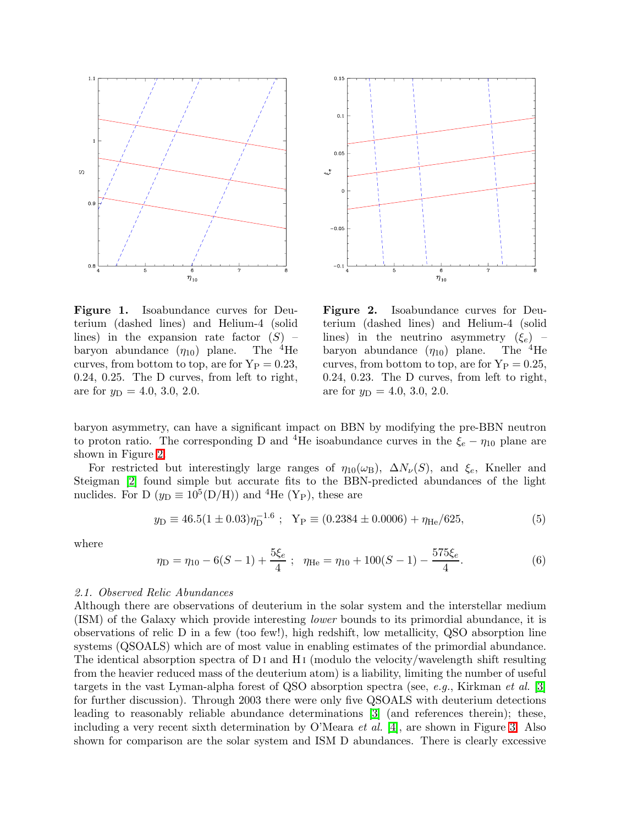



<span id="page-3-0"></span>Figure 1. Isoabundance curves for Deuterium (dashed lines) and Helium-4 (solid lines) in the expansion rate factor  $(S)$  – baryon abundance  $(\eta_{10})$  plane. The <sup>4</sup>He curves, from bottom to top, are for  $Y_P = 0.23$ , 0.24, 0.25. The D curves, from left to right, are for  $y_D = 4.0, 3.0, 2.0$ .

<span id="page-3-1"></span>Figure 2. Isoabundance curves for Deuterium (dashed lines) and Helium-4 (solid lines) in the neutrino asymmetry  $(\xi_e)$  – baryon abundance  $(\eta_{10})$  plane. The <sup>4</sup>He curves, from bottom to top, are for  $Y_P = 0.25$ , 0.24, 0.23. The D curves, from left to right, are for  $y_D = 4.0, 3.0, 2.0$ .

baryon asymmetry, can have a significant impact on BBN by modifying the pre-BBN neutron to proton ratio. The corresponding D and <sup>4</sup>He isoabundance curves in the  $\xi_e - \eta_{10}$  plane are shown in Figure [2.](#page-3-1)

For restricted but interestingly large ranges of  $\eta_{10}(\omega_B)$ ,  $\Delta N_{\nu}(S)$ , and  $\xi_e$ , Kneller and Steigman [\[2\]](#page-6-1) found simple but accurate fits to the BBN-predicted abundances of the light nuclides. For D ( $y_D \equiv 10^5(D/H)$ ) and <sup>4</sup>He (Y<sub>P</sub>), these are

$$
y_{\rm D} \equiv 46.5(1 \pm 0.03)\eta_{\rm D}^{-1.6} \ ; \ \ Y_{\rm P} \equiv (0.2384 \pm 0.0006) + \eta_{\rm He}/625,\tag{5}
$$

where

$$
\eta_{\rm D} = \eta_{10} - 6(S - 1) + \frac{5\xi_e}{4}; \quad \eta_{\rm He} = \eta_{10} + 100(S - 1) - \frac{575\xi_e}{4}.\tag{6}
$$

#### 2.1. Observed Relic Abundances

Although there are observations of deuterium in the solar system and the interstellar medium (ISM) of the Galaxy which provide interesting lower bounds to its primordial abundance, it is observations of relic D in a few (too few!), high redshift, low metallicity, QSO absorption line systems (QSOALS) which are of most value in enabling estimates of the primordial abundance. The identical absorption spectra of  $D I$  and  $H I$  (modulo the velocity/wavelength shift resulting from the heavier reduced mass of the deuterium atom) is a liability, limiting the number of useful targets in the vast Lyman-alpha forest of QSO absorption spectra (see, e.g., Kirkman et al.  $[3]$ ) for further discussion). Through 2003 there were only five QSOALS with deuterium detections leading to reasonably reliable abundance determinations [\[3\]](#page-6-2) (and references therein); these, including a very recent sixth determination by O'Meara et al. [\[4\]](#page-6-3), are shown in Figure [3.](#page-4-0) Also shown for comparison are the solar system and ISM D abundances. There is clearly excessive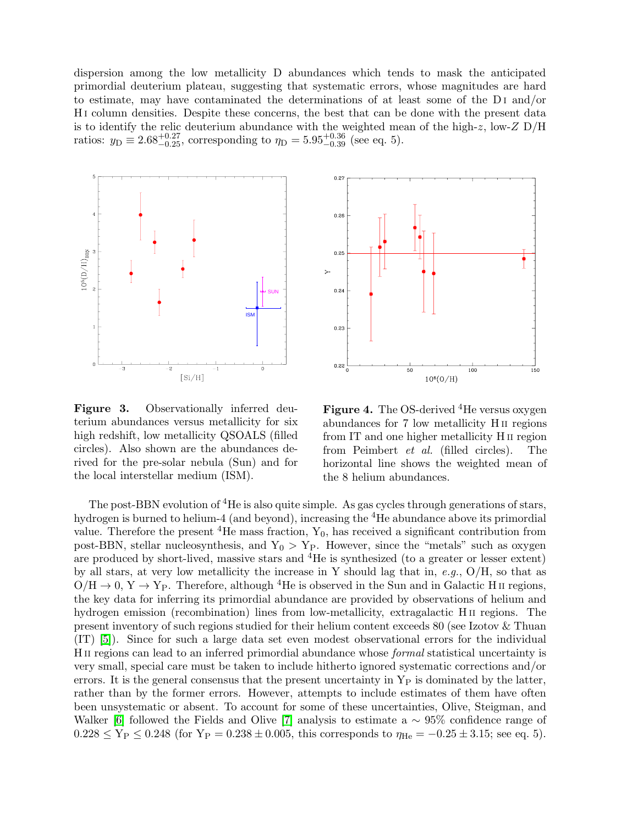dispersion among the low metallicity D abundances which tends to mask the anticipated primordial deuterium plateau, suggesting that systematic errors, whose magnitudes are hard to estimate, may have contaminated the determinations of at least some of the D I and/or H I column densities. Despite these concerns, the best that can be done with the present data is to identify the relic deuterium abundance with the weighted mean of the high-z, low-Z  $D/H$ ratios:  $y_D \equiv 2.68^{+0.27}_{-0.25}$ , corresponding to  $\eta_D = 5.95^{+0.36}_{-0.39}$  (see eq. 5).



<span id="page-4-0"></span>Figure 3. Observationally inferred deuterium abundances versus metallicity for six high redshift, low metallicity QSOALS (filled circles). Also shown are the abundances derived for the pre-solar nebula (Sun) and for the local interstellar medium (ISM).



<span id="page-4-1"></span>**Figure 4.** The OS-derived  ${}^4$ He versus oxygen abundances for 7 low metallicity H II regions from IT and one higher metallicity H II region from Peimbert et al. (filled circles). The horizontal line shows the weighted mean of the 8 helium abundances.

The post-BBN evolution of <sup>4</sup>He is also quite simple. As gas cycles through generations of stars, hydrogen is burned to helium-4 (and beyond), increasing the <sup>4</sup>He abundance above its primordial value. Therefore the present <sup>4</sup>He mass fraction,  $Y_0$ , has received a significant contribution from post-BBN, stellar nucleosynthesis, and  $Y_0 > Y_P$ . However, since the "metals" such as oxygen are produced by short-lived, massive stars and <sup>4</sup>He is synthesized (to a greater or lesser extent) by all stars, at very low metallicity the increase in Y should lag that in, e.g.,  $O/H$ , so that as  $O/H \to 0$ ,  $Y \to Y_P$ . Therefore, although <sup>4</sup>He is observed in the Sun and in Galactic H<sub>II</sub> regions, the key data for inferring its primordial abundance are provided by observations of helium and hydrogen emission (recombination) lines from low-metallicity, extragalactic H<sub>II</sub> regions. The present inventory of such regions studied for their helium content exceeds 80 (see Izotov & Thuan (IT) [\[5\]](#page-6-4)). Since for such a large data set even modest observational errors for the individual H II regions can lead to an inferred primordial abundance whose formal statistical uncertainty is very small, special care must be taken to include hitherto ignored systematic corrections and/or errors. It is the general consensus that the present uncertainty in  $Y_P$  is dominated by the latter, rather than by the former errors. However, attempts to include estimates of them have often been unsystematic or absent. To account for some of these uncertainties, Olive, Steigman, and Walker [\[6\]](#page-6-5) followed the Fields and Olive [\[7\]](#page-6-6) analysis to estimate a  $\sim 95\%$  confidence range of  $0.228 \le Y_P \le 0.248$  (for  $Y_P = 0.238 \pm 0.005$ , this corresponds to  $\eta_{He} = -0.25 \pm 3.15$ ; see eq. 5).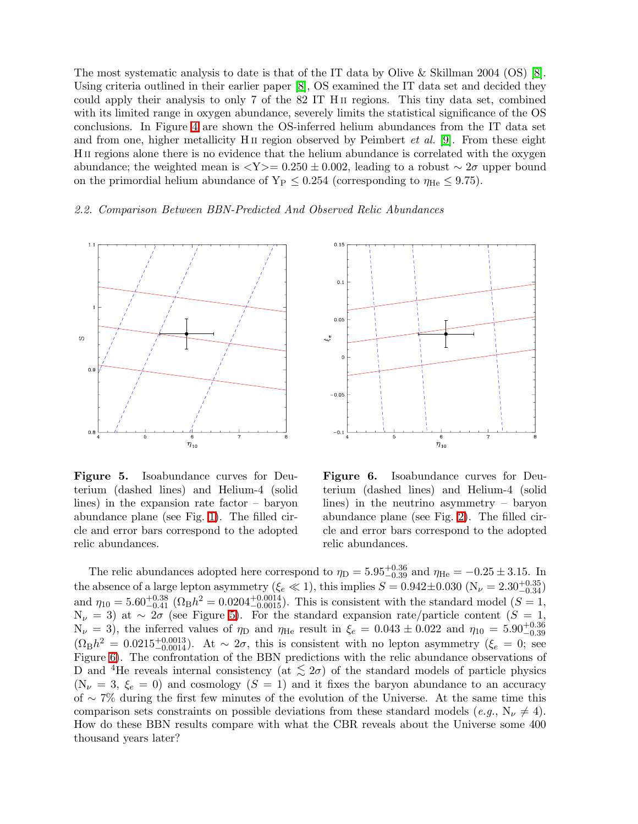The most systematic analysis to date is that of the IT data by Olive & Skillman 2004 (OS) [\[8\]](#page-6-7). Using criteria outlined in their earlier paper [\[8\]](#page-6-7), OS examined the IT data set and decided they could apply their analysis to only 7 of the 82 IT H II regions. This tiny data set, combined with its limited range in oxygen abundance, severely limits the statistical significance of the OS conclusions. In Figure [4](#page-4-1) are shown the OS-inferred helium abundances from the IT data set and from one, higher metallicity H<sub>II</sub> region observed by Peimbert *et al.* [\[9\]](#page-6-8). From these eight H II regions alone there is no evidence that the helium abundance is correlated with the oxygen abundance; the weighted mean is  $\langle Y \rangle = 0.250 \pm 0.002$ , leading to a robust  $\sim 2\sigma$  upper bound on the primordial helium abundance of  $Y_P \leq 0.254$  (corresponding to  $\eta_{He} \leq 9.75$ ).

## 2.2. Comparison Between BBN-Predicted And Observed Relic Abundances





<span id="page-5-0"></span>Figure 5. Isoabundance curves for Deuterium (dashed lines) and Helium-4 (solid lines) in the expansion rate factor – baryon abundance plane (see Fig. [1\)](#page-3-0). The filled circle and error bars correspond to the adopted relic abundances.

<span id="page-5-1"></span>Figure 6. Isoabundance curves for Deuterium (dashed lines) and Helium-4 (solid lines) in the neutrino asymmetry – baryon abundance plane (see Fig. [2\)](#page-3-1). The filled circle and error bars correspond to the adopted relic abundances.

The relic abundances adopted here correspond to  $\eta_D = 5.95^{+0.36}_{-0.39}$  and  $\eta_{He} = -0.25 \pm 3.15$ . In the absence of a large lepton asymmetry ( $\xi_e \ll 1$ ), this implies  $S = 0.942 \pm 0.030$  ( $N_\nu = 2.30^{+0.35}_{-0.34}$ ) and  $\eta_{10} = 5.60^{+0.38}_{-0.41}$  ( $\Omega_B h^2 = 0.0204^{+0.0014}_{-0.0015}$ ). This is consistent with the standard model ( $S = 1$ ,  $N_{\nu} = 3$ ) at ~  $2\sigma$  (see Figure [5\)](#page-5-0). For the standard expansion rate/particle content ( $S = 1$ ,  $N_{\nu} = 3$ ), the inferred values of  $\eta_D$  and  $\eta_{He}$  result in  $\xi_e = 0.043 \pm 0.022$  and  $\eta_{10} = 5.90^{+0.36}_{-0.39}$  $(\Omega_B h^2 = 0.0215_{-0.0014}^{+0.0013})$ . At ~ 2 $\sigma$ , this is consistent with no lepton asymmetry ( $\xi_e = 0$ ; see Figure [6\)](#page-5-1). The confrontation of the BBN predictions with the relic abundance observations of D and <sup>4</sup>He reveals internal consistency (at  $\lesssim 2\sigma$ ) of the standard models of particle physics  $(N_{\nu} = 3, \xi_e = 0)$  and cosmology  $(S = 1)$  and it fixes the baryon abundance to an accuracy of ∼ 7% during the first few minutes of the evolution of the Universe. At the same time this comparison sets constraints on possible deviations from these standard models (e.g.,  $N_{\nu} \neq 4$ ). How do these BBN results compare with what the CBR reveals about the Universe some 400 thousand years later?